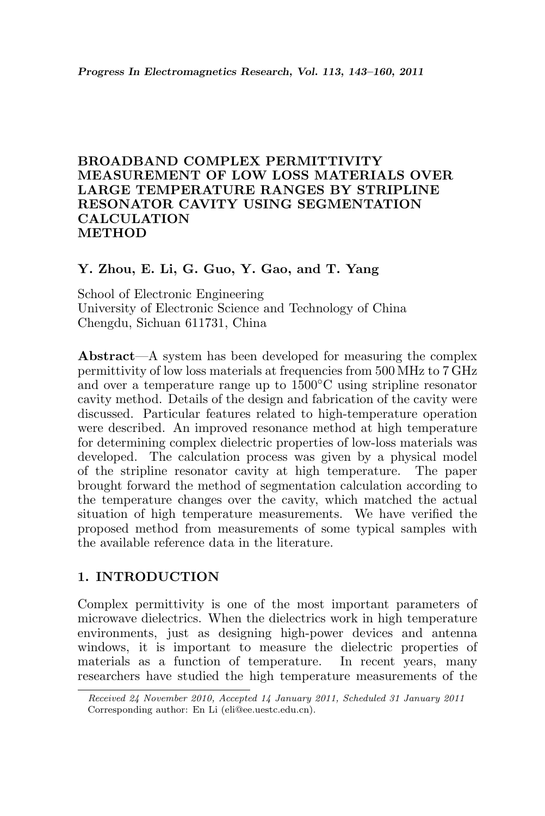# BROADBAND COMPLEX PERMITTIVITY MEASUREMENT OF LOW LOSS MATERIALS OVER LARGE TEMPERATURE RANGES BY STRIPLINE RESONATOR CAVITY USING SEGMENTATION CALCULATION **METHOD**

## Y. Zhou, E. Li, G. Guo, Y. Gao, and T. Yang

School of Electronic Engineering University of Electronic Science and Technology of China Chengdu, Sichuan 611731, China

Abstract—A system has been developed for measuring the complex permittivity of low loss materials at frequencies from 500 MHz to 7 GHz and over a temperature range up to 1500◦C using stripline resonator cavity method. Details of the design and fabrication of the cavity were discussed. Particular features related to high-temperature operation were described. An improved resonance method at high temperature for determining complex dielectric properties of low-loss materials was developed. The calculation process was given by a physical model of the stripline resonator cavity at high temperature. The paper brought forward the method of segmentation calculation according to the temperature changes over the cavity, which matched the actual situation of high temperature measurements. We have verified the proposed method from measurements of some typical samples with the available reference data in the literature.

## 1. INTRODUCTION

Complex permittivity is one of the most important parameters of microwave dielectrics. When the dielectrics work in high temperature environments, just as designing high-power devices and antenna windows, it is important to measure the dielectric properties of materials as a function of temperature. In recent years, many researchers have studied the high temperature measurements of the

Received 24 November 2010, Accepted 14 January 2011, Scheduled 31 January 2011 Corresponding author: En Li (eli@ee.uestc.edu.cn).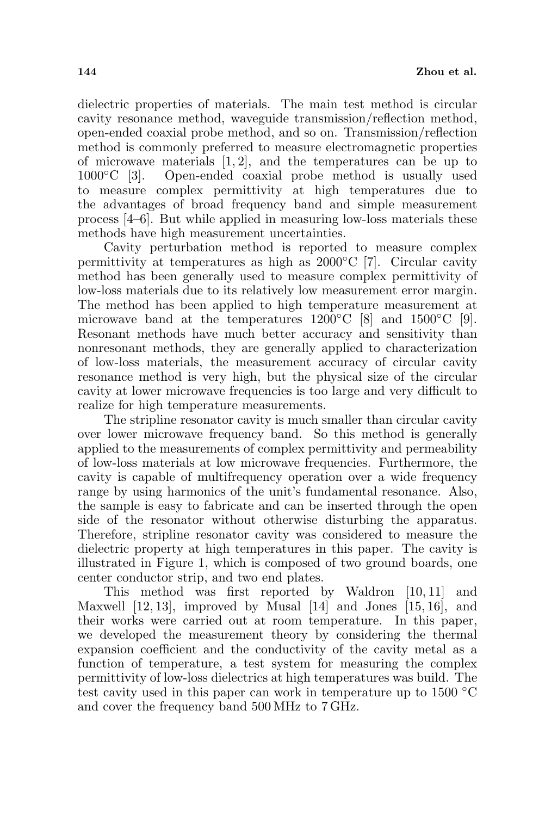dielectric properties of materials. The main test method is circular cavity resonance method, waveguide transmission/reflection method, open-ended coaxial probe method, and so on. Transmission/reflection method is commonly preferred to measure electromagnetic properties of microwave materials  $[1, 2]$ , and the temperatures can be up to 1000◦C [3]. Open-ended coaxial probe method is usually used to measure complex permittivity at high temperatures due to the advantages of broad frequency band and simple measurement process [4–6]. But while applied in measuring low-loss materials these methods have high measurement uncertainties.

Cavity perturbation method is reported to measure complex permittivity at temperatures as high as 2000◦C [7]. Circular cavity method has been generally used to measure complex permittivity of low-loss materials due to its relatively low measurement error margin. The method has been applied to high temperature measurement at microwave band at the temperatures  $1200\degree\text{C}$  [8] and  $1500\degree\text{C}$  [9]. Resonant methods have much better accuracy and sensitivity than nonresonant methods, they are generally applied to characterization of low-loss materials, the measurement accuracy of circular cavity resonance method is very high, but the physical size of the circular cavity at lower microwave frequencies is too large and very difficult to realize for high temperature measurements.

The stripline resonator cavity is much smaller than circular cavity over lower microwave frequency band. So this method is generally applied to the measurements of complex permittivity and permeability of low-loss materials at low microwave frequencies. Furthermore, the cavity is capable of multifrequency operation over a wide frequency range by using harmonics of the unit's fundamental resonance. Also, the sample is easy to fabricate and can be inserted through the open side of the resonator without otherwise disturbing the apparatus. Therefore, stripline resonator cavity was considered to measure the dielectric property at high temperatures in this paper. The cavity is illustrated in Figure 1, which is composed of two ground boards, one center conductor strip, and two end plates.

This method was first reported by Waldron [10, 11] and Maxwell [12, 13], improved by Musal [14] and Jones [15, 16], and their works were carried out at room temperature. In this paper, we developed the measurement theory by considering the thermal expansion coefficient and the conductivity of the cavity metal as a function of temperature, a test system for measuring the complex permittivity of low-loss dielectrics at high temperatures was build. The test cavity used in this paper can work in temperature up to 1500 ◦C and cover the frequency band 500 MHz to 7 GHz.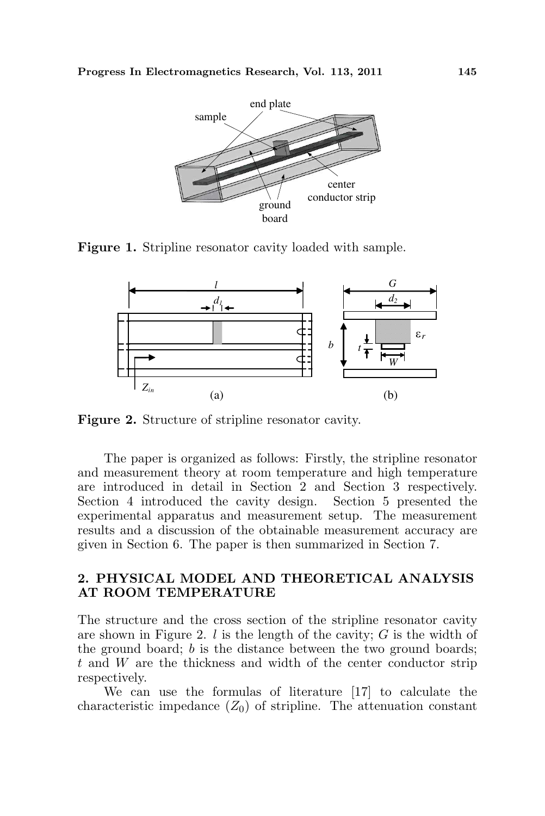

Figure 1. Stripline resonator cavity loaded with sample.



Figure 2. Structure of stripline resonator cavity.

The paper is organized as follows: Firstly, the stripline resonator and measurement theory at room temperature and high temperature are introduced in detail in Section 2 and Section 3 respectively. Section 4 introduced the cavity design. Section 5 presented the experimental apparatus and measurement setup. The measurement results and a discussion of the obtainable measurement accuracy are given in Section 6. The paper is then summarized in Section 7.

## 2. PHYSICAL MODEL AND THEORETICAL ANALYSIS AT ROOM TEMPERATURE

The structure and the cross section of the stripline resonator cavity are shown in Figure 2.  $l$  is the length of the cavity;  $G$  is the width of the ground board; b is the distance between the two ground boards; t and W are the thickness and width of the center conductor strip respectively.

We can use the formulas of literature [17] to calculate the characteristic impedance  $(Z_0)$  of stripline. The attenuation constant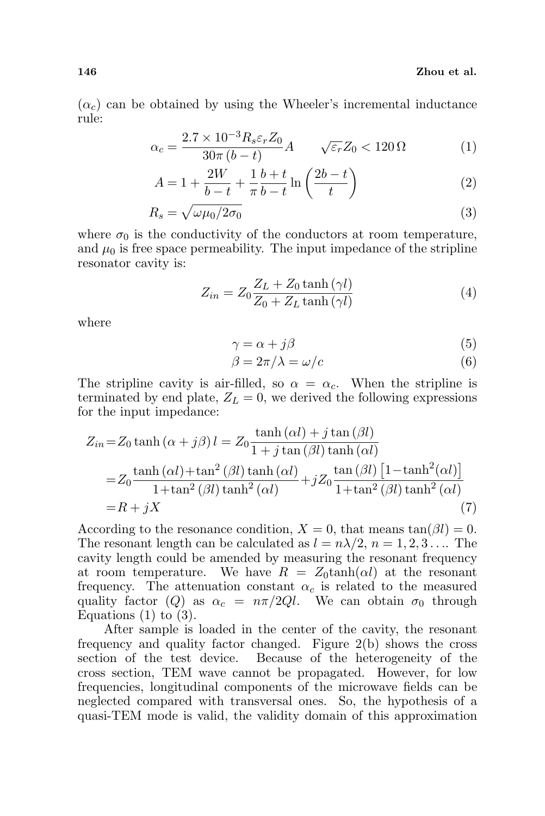$(\alpha_c)$  can be obtained by using the Wheeler's incremental inductance rule:

$$
\alpha_c = \frac{2.7 \times 10^{-3} R_s \varepsilon_r Z_0}{30 \pi (b - t)} A \qquad \sqrt{\varepsilon_r} Z_0 < 120 \, \Omega \tag{1}
$$

$$
A = 1 + \frac{2W}{b-t} + \frac{1}{\pi} \frac{b+t}{b-t} \ln\left(\frac{2b-t}{t}\right)
$$
 (2)

$$
R_s = \sqrt{\omega \mu_0 / 2\sigma_0} \tag{3}
$$

where  $\sigma_0$  is the conductivity of the conductors at room temperature, and  $\mu_0$  is free space permeability. The input impedance of the stripline resonator cavity is:

$$
Z_{in} = Z_0 \frac{Z_L + Z_0 \tanh(\gamma l)}{Z_0 + Z_L \tanh(\gamma l)}
$$
(4)

where

$$
\gamma = \alpha + j\beta \tag{5}
$$

$$
\beta = 2\pi/\lambda = \omega/c \tag{6}
$$

The stripline cavity is air-filled, so  $\alpha = \alpha_c$ . When the stripline is terminated by end plate,  $Z_L = 0$ , we derived the following expressions for the input impedance:

$$
Z_{in} = Z_0 \tanh (\alpha + j\beta) l = Z_0 \frac{\tanh (\alpha l) + j \tan (\beta l)}{1 + j \tan (\beta l) \tanh (\alpha l)}
$$
  
= 
$$
Z_0 \frac{\tanh (\alpha l) + \tan^2 (\beta l) \tanh (\alpha l)}{1 + \tan^2 (\beta l) \tanh^2 (\alpha l)} + j Z_0 \frac{\tan (\beta l) [1 - \tanh^2 (\alpha l)]}{1 + \tan^2 (\beta l) \tanh^2 (\alpha l)}
$$
  
=  $R + jX$  (7)

According to the resonance condition,  $X = 0$ , that means  $tan(\beta l) = 0$ . The resonant length can be calculated as  $l = n\lambda/2$ ,  $n = 1, 2, 3...$  The cavity length could be amended by measuring the resonant frequency at room temperature. We have  $R = Z_0 \tanh(\alpha l)$  at the resonant frequency. The attenuation constant  $\alpha_c$  is related to the measured quality factor (Q) as  $\alpha_c = n\pi/2Ql$ . We can obtain  $\sigma_0$  through Equations  $(1)$  to  $(3)$ .

After sample is loaded in the center of the cavity, the resonant frequency and quality factor changed. Figure 2(b) shows the cross section of the test device. Because of the heterogeneity of the cross section, TEM wave cannot be propagated. However, for low frequencies, longitudinal components of the microwave fields can be neglected compared with transversal ones. So, the hypothesis of a quasi-TEM mode is valid, the validity domain of this approximation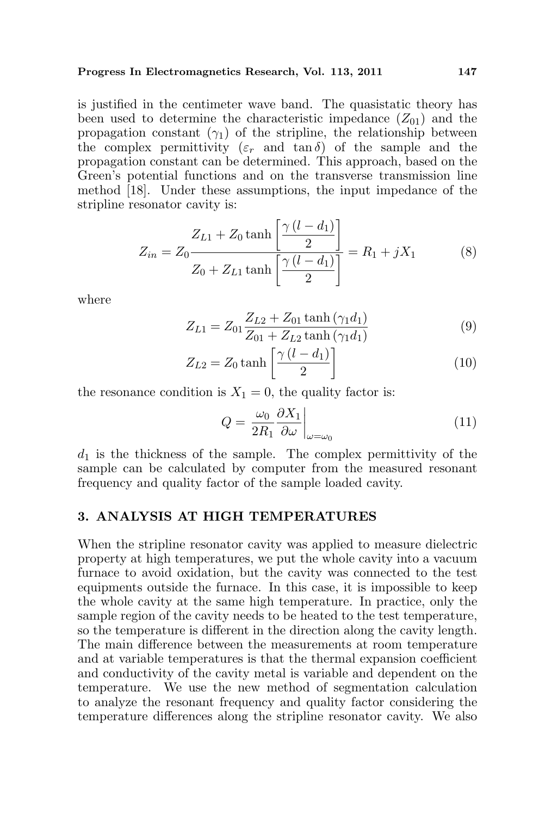#### Progress In Electromagnetics Research, Vol. 113, 2011 147

is justified in the centimeter wave band. The quasistatic theory has been used to determine the characteristic impedance  $(Z_{01})$  and the propagation constant  $(\gamma_1)$  of the stripline, the relationship between the complex permittivity  $(\varepsilon_r$  and tan  $\delta$ ) of the sample and the propagation constant can be determined. This approach, based on the Green's potential functions and on the transverse transmission line method [18]. Under these assumptions, the input impedance of the stripline resonator cavity is:  $\overline{a}$ 

$$
Z_{in} = Z_0 \frac{Z_{L1} + Z_0 \tanh\left[\frac{\gamma (l - d_1)}{2}\right]}{Z_0 + Z_{L1} \tanh\left[\frac{\gamma (l - d_1)}{2}\right]} = R_1 + jX_1 \tag{8}
$$

where

$$
Z_{L1} = Z_{01} \frac{Z_{L2} + Z_{01} \tanh(\gamma_1 d_1)}{Z_{01} + Z_{L2} \tanh(\gamma_1 d_1)}
$$
(9)

$$
Z_{L2} = Z_0 \tanh\left[\frac{\gamma \left(l - d_1\right)}{2}\right] \tag{10}
$$

the resonance condition is  $X_1 = 0$ , the quality factor is:

$$
Q = \frac{\omega_0}{2R_1} \frac{\partial X_1}{\partial \omega}\Big|_{\omega = \omega_0} \tag{11}
$$

 $d_1$  is the thickness of the sample. The complex permittivity of the sample can be calculated by computer from the measured resonant frequency and quality factor of the sample loaded cavity.

# 3. ANALYSIS AT HIGH TEMPERATURES

When the stripline resonator cavity was applied to measure dielectric property at high temperatures, we put the whole cavity into a vacuum furnace to avoid oxidation, but the cavity was connected to the test equipments outside the furnace. In this case, it is impossible to keep the whole cavity at the same high temperature. In practice, only the sample region of the cavity needs to be heated to the test temperature, so the temperature is different in the direction along the cavity length. The main difference between the measurements at room temperature and at variable temperatures is that the thermal expansion coefficient and conductivity of the cavity metal is variable and dependent on the temperature. We use the new method of segmentation calculation to analyze the resonant frequency and quality factor considering the temperature differences along the stripline resonator cavity. We also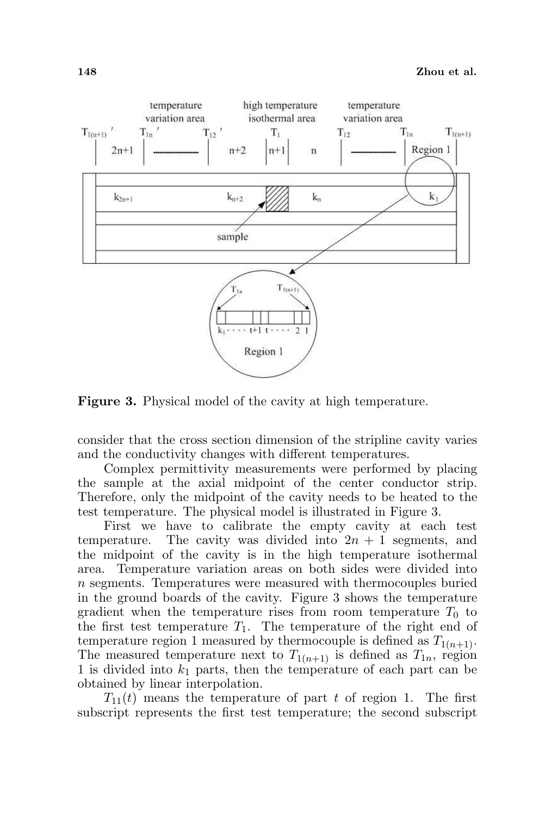

Figure 3. Physical model of the cavity at high temperature.

consider that the cross section dimension of the stripline cavity varies and the conductivity changes with different temperatures.

Complex permittivity measurements were performed by placing the sample at the axial midpoint of the center conductor strip. Therefore, only the midpoint of the cavity needs to be heated to the test temperature. The physical model is illustrated in Figure 3.

First we have to calibrate the empty cavity at each test temperature. The cavity was divided into  $2n + 1$  segments, and the midpoint of the cavity is in the high temperature isothermal area. Temperature variation areas on both sides were divided into n segments. Temperatures were measured with thermocouples buried in the ground boards of the cavity. Figure 3 shows the temperature gradient when the temperature rises from room temperature  $T_0$  to the first test temperature  $T_1$ . The temperature of the right end of temperature region 1 measured by thermocouple is defined as  $T_{1(n+1)}$ . The measured temperature next to  $T_{1(n+1)}$  is defined as  $T_{1n}$ , region 1 is divided into  $k_1$  parts, then the temperature of each part can be obtained by linear interpolation.

 $T_{11}(t)$  means the temperature of part t of region 1. The first subscript represents the first test temperature; the second subscript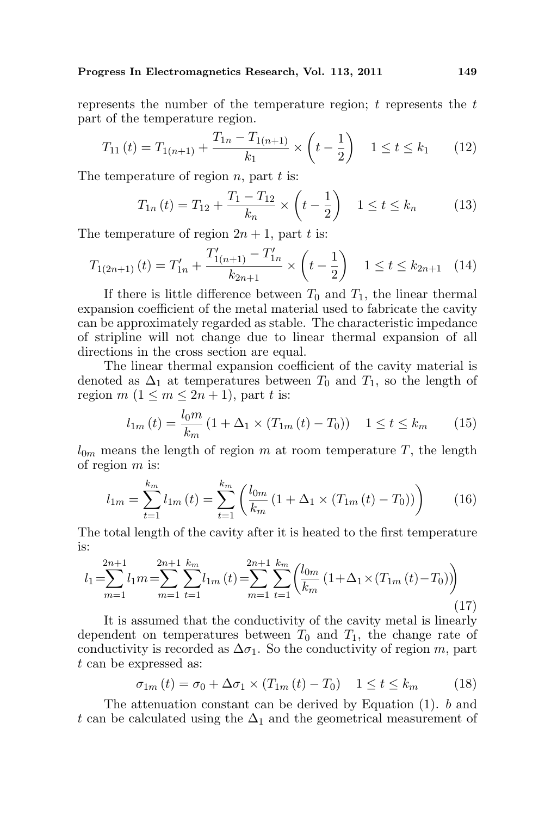represents the number of the temperature region;  $t$  represents the  $t$ part of the temperature region.

$$
T_{11}(t) = T_{1(n+1)} + \frac{T_{1n} - T_{1(n+1)}}{k_1} \times \left(t - \frac{1}{2}\right) \quad 1 \le t \le k_1 \tag{12}
$$

The temperature of region  $n$ , part  $t$  is:

$$
T_{1n}(t) = T_{12} + \frac{T_1 - T_{12}}{k_n} \times \left(t - \frac{1}{2}\right) \quad 1 \le t \le k_n \tag{13}
$$

The temperature of region  $2n + 1$ , part t is:

$$
T_{1(2n+1)}(t) = T'_{1n} + \frac{T'_{1(n+1)} - T'_{1n}}{k_{2n+1}} \times \left(t - \frac{1}{2}\right) \quad 1 \le t \le k_{2n+1} \quad (14)
$$

If there is little difference between  $T_0$  and  $T_1$ , the linear thermal expansion coefficient of the metal material used to fabricate the cavity can be approximately regarded as stable. The characteristic impedance of stripline will not change due to linear thermal expansion of all directions in the cross section are equal.

The linear thermal expansion coefficient of the cavity material is denoted as  $\Delta_1$  at temperatures between  $T_0$  and  $T_1$ , so the length of region m  $(1 \le m \le 2n + 1)$ , part t is:

$$
l_{1m}(t) = \frac{l_0 m}{k_m} \left( 1 + \Delta_1 \times (T_{1m}(t) - T_0) \right) \quad 1 \le t \le k_m \tag{15}
$$

 $l_{0m}$  means the length of region m at room temperature T, the length of region  $m$  is:

$$
l_{1m} = \sum_{t=1}^{k_m} l_{1m}(t) = \sum_{t=1}^{k_m} \left( \frac{l_{0m}}{k_m} \left( 1 + \Delta_1 \times (T_{1m}(t) - T_0) \right) \right)
$$
(16)

The total length of the cavity after it is heated to the first temperature is:

$$
l_{1} = \sum_{m=1}^{2n+1} l_{1} m = \sum_{m=1}^{2n+1} \sum_{t=1}^{k_{m}} l_{1m} \left( t \right) = \sum_{m=1}^{2n+1} \sum_{t=1}^{k_{m}} \left( \frac{l_{0m}}{k_{m}} \left( 1 + \Delta_{1} \times \left( T_{1m} \left( t \right) - T_{0} \right) \right) \right)
$$
\n
$$
\tag{17}
$$

It is assumed that the conductivity of the cavity metal is linearly dependent on temperatures between  $T_0$  and  $T_1$ , the change rate of conductivity is recorded as  $\Delta \sigma_1$ . So the conductivity of region m, part t can be expressed as:

$$
\sigma_{1m}(t) = \sigma_0 + \Delta \sigma_1 \times (T_{1m}(t) - T_0) \quad 1 \le t \le k_m \tag{18}
$$

The attenuation constant can be derived by Equation (1). b and t can be calculated using the  $\Delta_1$  and the geometrical measurement of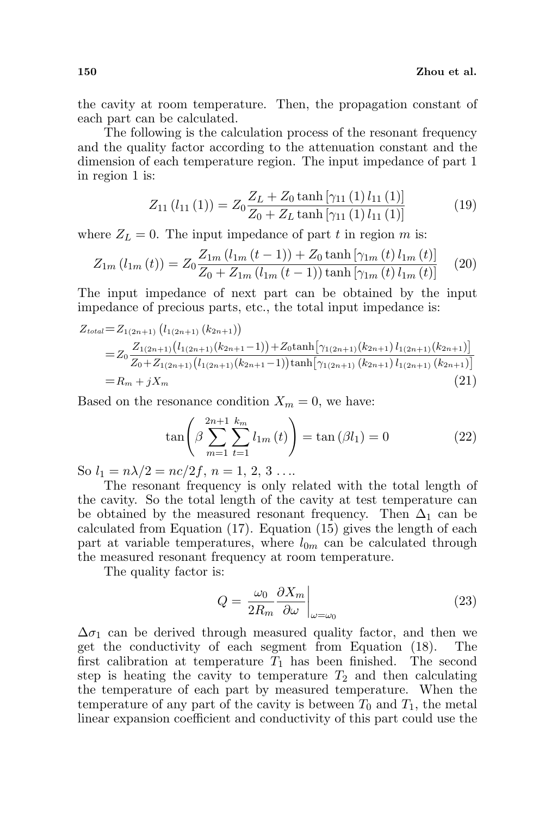the cavity at room temperature. Then, the propagation constant of each part can be calculated.

The following is the calculation process of the resonant frequency and the quality factor according to the attenuation constant and the dimension of each temperature region. The input impedance of part 1 in region 1 is:

$$
Z_{11}(l_{11}(1)) = Z_0 \frac{Z_L + Z_0 \tanh\left[\gamma_{11}\left(1\right)l_{11}\left(1\right)\right]}{Z_0 + Z_L \tanh\left[\gamma_{11}\left(1\right)l_{11}\left(1\right)\right]}
$$
(19)

where  $Z_L = 0$ . The input impedance of part t in region m is:

$$
Z_{1m} (l_{1m} (t)) = Z_0 \frac{Z_{1m} (l_{1m} (t-1)) + Z_0 \tanh \left[ \gamma_{1m} (t) l_{1m} (t) \right]}{Z_0 + Z_{1m} (l_{1m} (t-1)) \tanh \left[ \gamma_{1m} (t) l_{1m} (t) \right]} \tag{20}
$$

The input impedance of next part can be obtained by the input impedance of precious parts, etc., the total input impedance is:

$$
Z_{total} = Z_{1(2n+1)} (l_{1(2n+1)} (k_{2n+1}))
$$
  
= 
$$
Z_0 \frac{Z_{1(2n+1)} (l_{1(2n+1)} (k_{2n+1}-1)) + Z_0 \tanh[\gamma_{1(2n+1)} (k_{2n+1}) l_{1(2n+1)} (k_{2n+1})]}{Z_0 + Z_{1(2n+1)} (l_{1(2n+1)} (k_{2n+1}-1)) \tanh[\gamma_{1(2n+1)} (k_{2n+1}) l_{1(2n+1)} (k_{2n+1})]}
$$
  
=  $R_m + jX_m$  (21)

Based on the resonance condition  $X_m = 0$ , we have:

$$
\tan\left(\beta \sum_{m=1}^{2n+1} \sum_{t=1}^{k_m} l_{1m}(t)\right) = \tan\left(\beta l_1\right) = 0\tag{22}
$$

So  $l_1 = n\lambda/2 = nc/2f, n = 1, 2, 3 \ldots$ 

The resonant frequency is only related with the total length of the cavity. So the total length of the cavity at test temperature can be obtained by the measured resonant frequency. Then  $\Delta_1$  can be calculated from Equation (17). Equation (15) gives the length of each part at variable temperatures, where  $l_{0m}$  can be calculated through the measured resonant frequency at room temperature.

The quality factor is:

$$
Q = \frac{\omega_0}{2R_m} \frac{\partial X_m}{\partial \omega}\bigg|_{\omega = \omega_0} \tag{23}
$$

 $\Delta \sigma_1$  can be derived through measured quality factor, and then we get the conductivity of each segment from Equation (18). The first calibration at temperature  $T_1$  has been finished. The second step is heating the cavity to temperature  $T_2$  and then calculating the temperature of each part by measured temperature. When the temperature of any part of the cavity is between  $T_0$  and  $T_1$ , the metal linear expansion coefficient and conductivity of this part could use the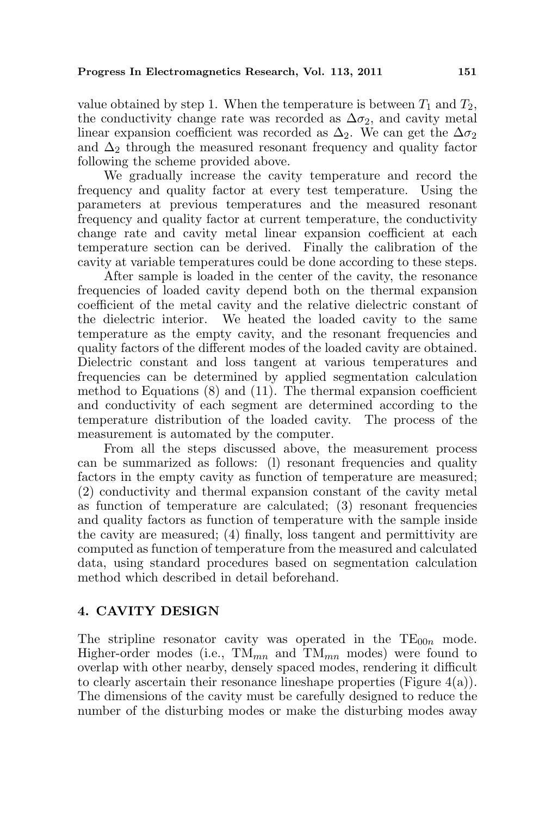value obtained by step 1. When the temperature is between  $T_1$  and  $T_2$ , the conductivity change rate was recorded as  $\Delta \sigma_2$ , and cavity metal linear expansion coefficient was recorded as  $\Delta_2$ . We can get the  $\Delta \sigma_2$ and  $\Delta_2$  through the measured resonant frequency and quality factor following the scheme provided above.

We gradually increase the cavity temperature and record the frequency and quality factor at every test temperature. Using the parameters at previous temperatures and the measured resonant frequency and quality factor at current temperature, the conductivity change rate and cavity metal linear expansion coefficient at each temperature section can be derived. Finally the calibration of the cavity at variable temperatures could be done according to these steps.

After sample is loaded in the center of the cavity, the resonance frequencies of loaded cavity depend both on the thermal expansion coefficient of the metal cavity and the relative dielectric constant of the dielectric interior. We heated the loaded cavity to the same temperature as the empty cavity, and the resonant frequencies and quality factors of the different modes of the loaded cavity are obtained. Dielectric constant and loss tangent at various temperatures and frequencies can be determined by applied segmentation calculation method to Equations (8) and (11). The thermal expansion coefficient and conductivity of each segment are determined according to the temperature distribution of the loaded cavity. The process of the measurement is automated by the computer.

From all the steps discussed above, the measurement process can be summarized as follows: (l) resonant frequencies and quality factors in the empty cavity as function of temperature are measured; (2) conductivity and thermal expansion constant of the cavity metal as function of temperature are calculated; (3) resonant frequencies and quality factors as function of temperature with the sample inside the cavity are measured; (4) finally, loss tangent and permittivity are computed as function of temperature from the measured and calculated data, using standard procedures based on segmentation calculation method which described in detail beforehand.

## 4. CAVITY DESIGN

The stripline resonator cavity was operated in the  $TE_{00n}$  mode. Higher-order modes (i.e.,  $TM_{mn}$  and  $TM_{mn}$  modes) were found to overlap with other nearby, densely spaced modes, rendering it difficult to clearly ascertain their resonance lineshape properties (Figure  $4(a)$ ). The dimensions of the cavity must be carefully designed to reduce the number of the disturbing modes or make the disturbing modes away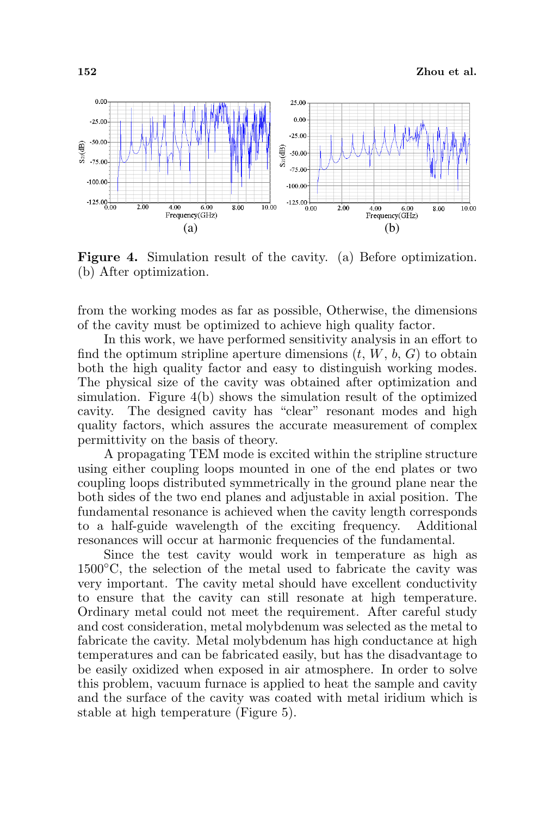

Figure 4. Simulation result of the cavity. (a) Before optimization. (b) After optimization.

from the working modes as far as possible, Otherwise, the dimensions of the cavity must be optimized to achieve high quality factor.

In this work, we have performed sensitivity analysis in an effort to find the optimum stripline aperture dimensions  $(t, W, b, G)$  to obtain both the high quality factor and easy to distinguish working modes. The physical size of the cavity was obtained after optimization and simulation. Figure 4(b) shows the simulation result of the optimized cavity. The designed cavity has "clear" resonant modes and high quality factors, which assures the accurate measurement of complex permittivity on the basis of theory.

A propagating TEM mode is excited within the stripline structure using either coupling loops mounted in one of the end plates or two coupling loops distributed symmetrically in the ground plane near the both sides of the two end planes and adjustable in axial position. The fundamental resonance is achieved when the cavity length corresponds to a half-guide wavelength of the exciting frequency. Additional resonances will occur at harmonic frequencies of the fundamental.

Since the test cavity would work in temperature as high as 1500◦C, the selection of the metal used to fabricate the cavity was very important. The cavity metal should have excellent conductivity to ensure that the cavity can still resonate at high temperature. Ordinary metal could not meet the requirement. After careful study and cost consideration, metal molybdenum was selected as the metal to fabricate the cavity. Metal molybdenum has high conductance at high temperatures and can be fabricated easily, but has the disadvantage to be easily oxidized when exposed in air atmosphere. In order to solve this problem, vacuum furnace is applied to heat the sample and cavity and the surface of the cavity was coated with metal iridium which is stable at high temperature (Figure 5).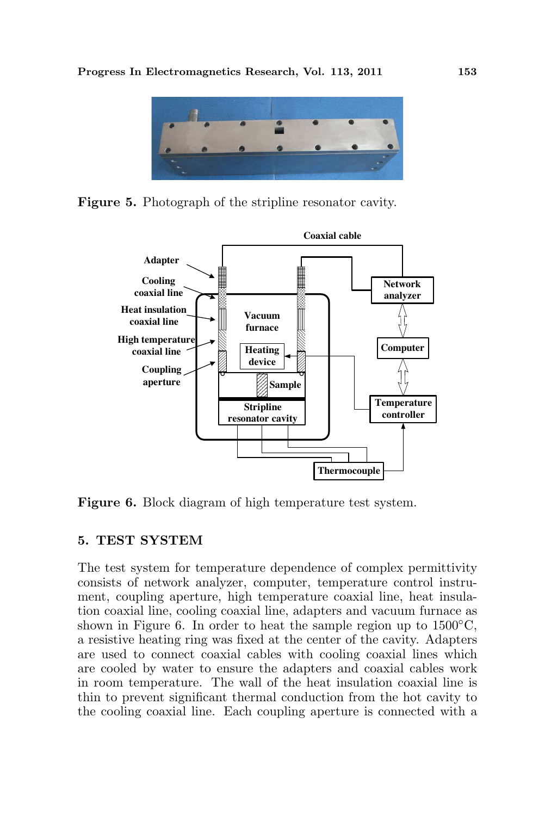

Figure 5. Photograph of the stripline resonator cavity.



Figure 6. Block diagram of high temperature test system.

# 5. TEST SYSTEM

The test system for temperature dependence of complex permittivity consists of network analyzer, computer, temperature control instrument, coupling aperture, high temperature coaxial line, heat insulation coaxial line, cooling coaxial line, adapters and vacuum furnace as shown in Figure 6. In order to heat the sample region up to  $1500^{\circ}$ C, a resistive heating ring was fixed at the center of the cavity. Adapters are used to connect coaxial cables with cooling coaxial lines which are cooled by water to ensure the adapters and coaxial cables work in room temperature. The wall of the heat insulation coaxial line is thin to prevent significant thermal conduction from the hot cavity to the cooling coaxial line. Each coupling aperture is connected with a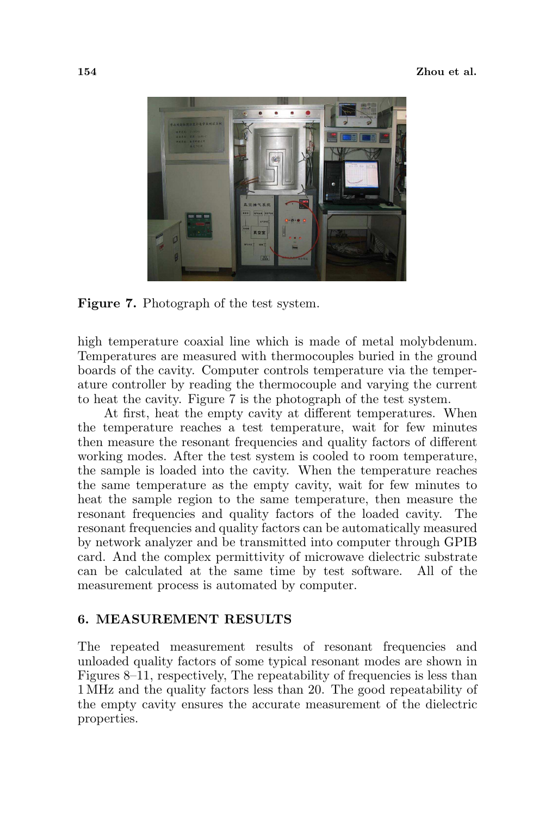

Figure 7. Photograph of the test system.

high temperature coaxial line which is made of metal molybdenum. Temperatures are measured with thermocouples buried in the ground boards of the cavity. Computer controls temperature via the temperature controller by reading the thermocouple and varying the current to heat the cavity. Figure 7 is the photograph of the test system.

At first, heat the empty cavity at different temperatures. When the temperature reaches a test temperature, wait for few minutes then measure the resonant frequencies and quality factors of different working modes. After the test system is cooled to room temperature, the sample is loaded into the cavity. When the temperature reaches the same temperature as the empty cavity, wait for few minutes to heat the sample region to the same temperature, then measure the resonant frequencies and quality factors of the loaded cavity. The resonant frequencies and quality factors can be automatically measured by network analyzer and be transmitted into computer through GPIB card. And the complex permittivity of microwave dielectric substrate can be calculated at the same time by test software. All of the measurement process is automated by computer.

# 6. MEASUREMENT RESULTS

The repeated measurement results of resonant frequencies and unloaded quality factors of some typical resonant modes are shown in Figures 8–11, respectively, The repeatability of frequencies is less than 1 MHz and the quality factors less than 20. The good repeatability of the empty cavity ensures the accurate measurement of the dielectric properties.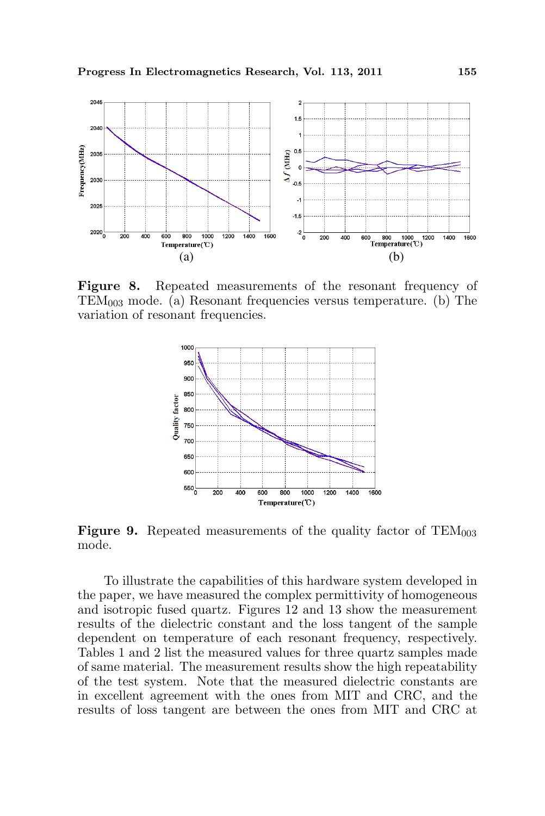

Figure 8. Repeated measurements of the resonant frequency of  $TEM_{003}$  mode. (a) Resonant frequencies versus temperature. (b) The variation of resonant frequencies.



**Figure 9.** Repeated measurements of the quality factor of  $TEM_{003}$ mode.

To illustrate the capabilities of this hardware system developed in the paper, we have measured the complex permittivity of homogeneous and isotropic fused quartz. Figures 12 and 13 show the measurement results of the dielectric constant and the loss tangent of the sample dependent on temperature of each resonant frequency, respectively. Tables 1 and 2 list the measured values for three quartz samples made of same material. The measurement results show the high repeatability of the test system. Note that the measured dielectric constants are in excellent agreement with the ones from MIT and CRC, and the results of loss tangent are between the ones from MIT and CRC at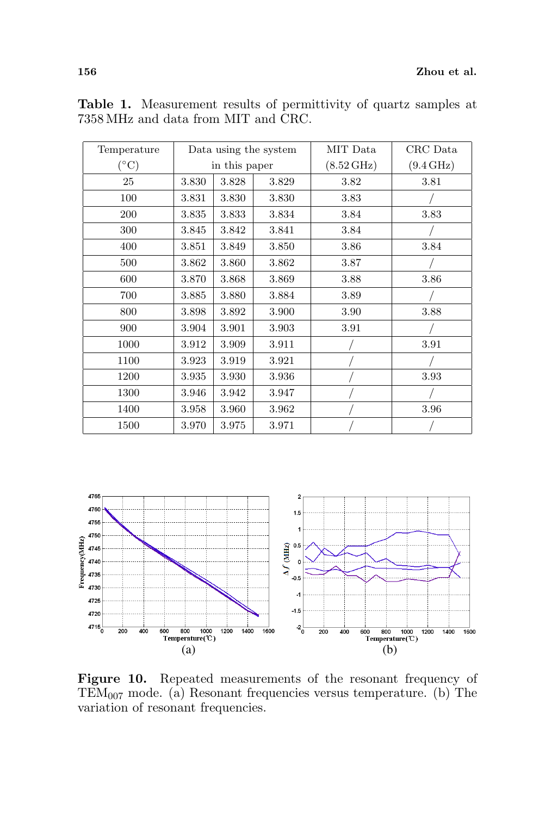| Temperature     |               |       | Data using the system | MIT Data             | CRC Data            |
|-----------------|---------------|-------|-----------------------|----------------------|---------------------|
| $({}^{\circ}C)$ | in this paper |       |                       | $(8.52 \text{ GHz})$ | $(9.4\,\text{GHz})$ |
| 25              | 3.830         | 3.828 | 3.829                 | 3.82                 | 3.81                |
| 100             | 3.831         | 3.830 | 3.830                 | 3.83                 |                     |
| 200             | 3.835         | 3.833 | 3.834                 | 3.84                 | 3.83                |
| 300             | 3.845         | 3.842 | 3.841                 | 3.84                 |                     |
| 400             | 3.851         | 3.849 | 3.850                 | 3.86                 | 3.84                |
| 500             | 3.862         | 3.860 | 3.862                 | 3.87                 |                     |
| 600             | 3.870         | 3.868 | 3.869                 | 3.88                 | 3.86                |
| 700             | 3.885         | 3.880 | 3.884                 | 3.89                 |                     |
| 800             | 3.898         | 3.892 | 3.900                 | 3.90                 | 3.88                |
| 900             | 3.904         | 3.901 | 3.903                 | 3.91                 |                     |
| 1000            | 3.912         | 3.909 | 3.911                 |                      | 3.91                |
| 1100            | 3.923         | 3.919 | 3.921                 |                      |                     |
| 1200            | 3.935         | 3.930 | 3.936                 |                      | 3.93                |
| 1300            | 3.946         | 3.942 | 3.947                 |                      |                     |
| 1400            | 3.958         | 3.960 | 3.962                 |                      | 3.96                |
| 1500            | 3.970         | 3.975 | 3.971                 |                      |                     |

Table 1. Measurement results of permittivity of quartz samples at 7358 MHz and data from MIT and CRC.



Figure 10. Repeated measurements of the resonant frequency of TEM<sup>007</sup> mode. (a) Resonant frequencies versus temperature. (b) The variation of resonant frequencies.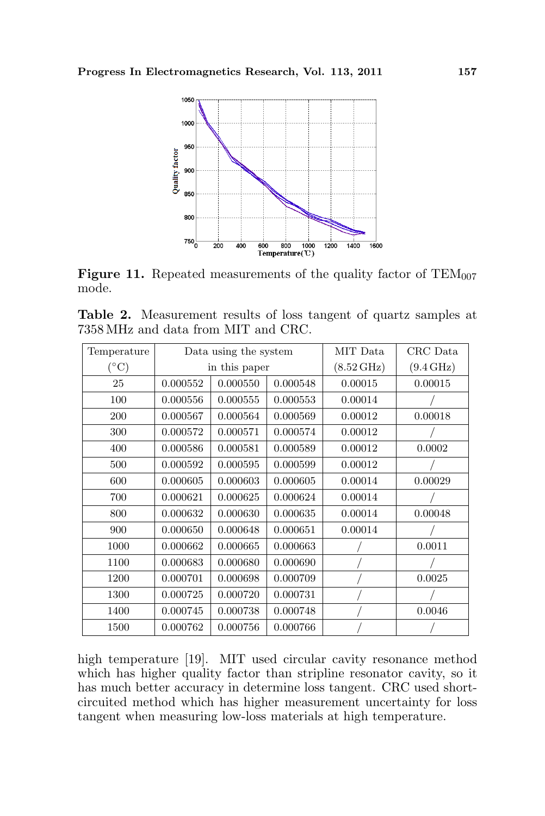

**Figure 11.** Repeated measurements of the quality factor of  $TEM_{007}$ mode.

Table 2. Measurement results of loss tangent of quartz samples at 7358 MHz and data from MIT and CRC.

| Temperature   |          | Data using the system |          | MIT Data             | CRC Data            |
|---------------|----------|-----------------------|----------|----------------------|---------------------|
| $(^{\circ}C)$ |          | in this paper         |          | $(8.52\,\text{GHz})$ | $(9.4\,\text{GHz})$ |
| 25            | 0.000552 | 0.000550              | 0.000548 | 0.00015              | 0.00015             |
| 100           | 0.000556 | 0.000555              | 0.000553 | 0.00014              |                     |
| 200           | 0.000567 | 0.000564              | 0.000569 | 0.00012              | 0.00018             |
| 300           | 0.000572 | 0.000571              | 0.000574 | 0.00012              |                     |
| 400           | 0.000586 | 0.000581              | 0.000589 | 0.00012              | 0.0002              |
| 500           | 0.000592 | 0.000595              | 0.000599 | 0.00012              |                     |
| 600           | 0.000605 | 0.000603              | 0.000605 | 0.00014              | 0.00029             |
| 700           | 0.000621 | 0.000625              | 0.000624 | 0.00014              |                     |
| 800           | 0.000632 | 0.000630              | 0.000635 | 0.00014              | 0.00048             |
| 900           | 0.000650 | 0.000648              | 0.000651 | 0.00014              |                     |
| 1000          | 0.000662 | 0.000665              | 0.000663 |                      | 0.0011              |
| 1100          | 0.000683 | 0.000680              | 0.000690 |                      |                     |
| 1200          | 0.000701 | 0.000698              | 0.000709 |                      | 0.0025              |
| 1300          | 0.000725 | 0.000720              | 0.000731 |                      |                     |
| 1400          | 0.000745 | 0.000738              | 0.000748 |                      | 0.0046              |
| 1500          | 0.000762 | 0.000756              | 0.000766 |                      |                     |

high temperature [19]. MIT used circular cavity resonance method which has higher quality factor than stripline resonator cavity, so it has much better accuracy in determine loss tangent. CRC used shortcircuited method which has higher measurement uncertainty for loss tangent when measuring low-loss materials at high temperature.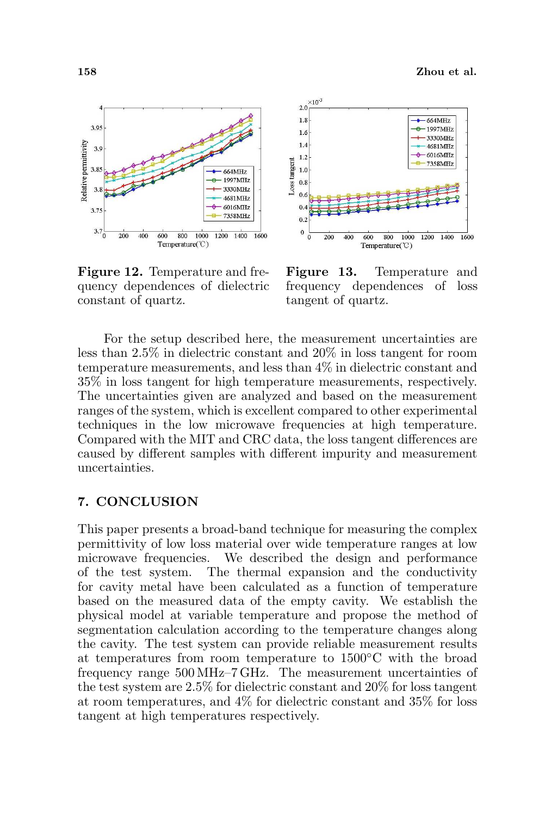

Figure 12. Temperature and frequency dependences of dielectric constant of quartz.



Figure 13. Temperature and frequency dependences of loss tangent of quartz.

For the setup described here, the measurement uncertainties are less than 2.5% in dielectric constant and 20% in loss tangent for room temperature measurements, and less than 4% in dielectric constant and 35% in loss tangent for high temperature measurements, respectively. The uncertainties given are analyzed and based on the measurement ranges of the system, which is excellent compared to other experimental techniques in the low microwave frequencies at high temperature. Compared with the MIT and CRC data, the loss tangent differences are caused by different samples with different impurity and measurement uncertainties.

### 7. CONCLUSION

This paper presents a broad-band technique for measuring the complex permittivity of low loss material over wide temperature ranges at low microwave frequencies. We described the design and performance of the test system. The thermal expansion and the conductivity for cavity metal have been calculated as a function of temperature based on the measured data of the empty cavity. We establish the physical model at variable temperature and propose the method of segmentation calculation according to the temperature changes along the cavity. The test system can provide reliable measurement results at temperatures from room temperature to 1500◦C with the broad frequency range 500 MHz–7 GHz. The measurement uncertainties of the test system are 2.5% for dielectric constant and 20% for loss tangent at room temperatures, and 4% for dielectric constant and 35% for loss tangent at high temperatures respectively.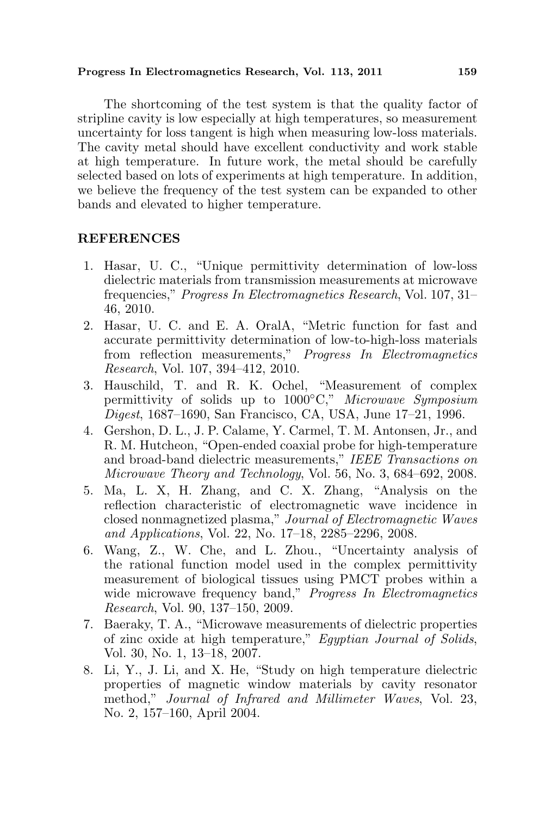#### Progress In Electromagnetics Research, Vol. 113, 2011 159

The shortcoming of the test system is that the quality factor of stripline cavity is low especially at high temperatures, so measurement uncertainty for loss tangent is high when measuring low-loss materials. The cavity metal should have excellent conductivity and work stable at high temperature. In future work, the metal should be carefully selected based on lots of experiments at high temperature. In addition, we believe the frequency of the test system can be expanded to other bands and elevated to higher temperature.

#### REFERENCES

- 1. Hasar, U. C., "Unique permittivity determination of low-loss dielectric materials from transmission measurements at microwave frequencies," Progress In Electromagnetics Research, Vol. 107, 31– 46, 2010.
- 2. Hasar, U. C. and E. A. OralA, "Metric function for fast and accurate permittivity determination of low-to-high-loss materials from reflection measurements," Progress In Electromagnetics Research, Vol. 107, 394–412, 2010.
- 3. Hauschild, T. and R. K. Ochel, "Measurement of complex permittivity of solids up to 1000°C," Microwave Symposium Digest, 1687–1690, San Francisco, CA, USA, June 17–21, 1996.
- 4. Gershon, D. L., J. P. Calame, Y. Carmel, T. M. Antonsen, Jr., and R. M. Hutcheon, "Open-ended coaxial probe for high-temperature and broad-band dielectric measurements," IEEE Transactions on Microwave Theory and Technology, Vol. 56, No. 3, 684–692, 2008.
- 5. Ma, L. X, H. Zhang, and C. X. Zhang, "Analysis on the reflection characteristic of electromagnetic wave incidence in closed nonmagnetized plasma," Journal of Electromagnetic Waves and Applications, Vol. 22, No. 17–18, 2285–2296, 2008.
- 6. Wang, Z., W. Che, and L. Zhou., "Uncertainty analysis of the rational function model used in the complex permittivity measurement of biological tissues using PMCT probes within a wide microwave frequency band," Progress In Electromagnetics Research, Vol. 90, 137–150, 2009.
- 7. Baeraky, T. A., "Microwave measurements of dielectric properties of zinc oxide at high temperature," Egyptian Journal of Solids, Vol. 30, No. 1, 13–18, 2007.
- 8. Li, Y., J. Li, and X. He, "Study on high temperature dielectric properties of magnetic window materials by cavity resonator method," Journal of Infrared and Millimeter Waves, Vol. 23, No. 2, 157–160, April 2004.